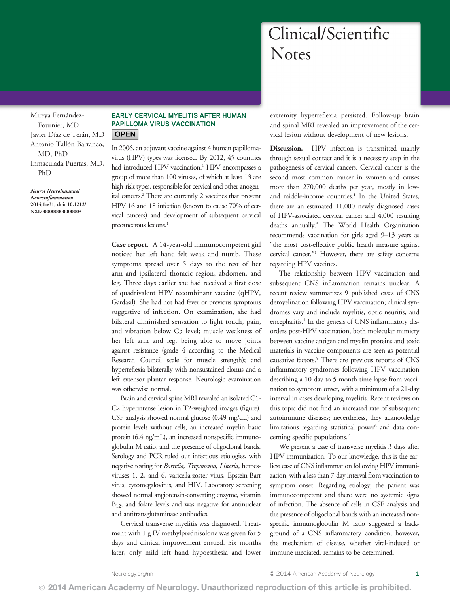# Clinical/Scientific **Notes**

<span id="page-0-0"></span>Mireya Fernández-Fournier, MD Javier Díaz de Terán, MD Antonio Tallón Barranco, MD, PhD Inmaculada Puertas, MD, PhD

Neurol Neuroimmunol Neuroinflammation 2014;1:e31; doi: 10.1212/ NXI.0000000000000031

## EARLY CERVICAL MYELITIS AFTER HUMAN PAPILLOMA VIRUS VACCINATION **OPEN**

In 2006, an adjuvant vaccine against 4 human papillomavirus (HPV) types was licensed. By 2012, 45 countries had introduced HPV vaccination.<sup>1</sup> HPV encompasses a group of more than 100 viruses, of which at least 13 are high-risk types, responsible for cervical and other anogenital cancers.2 There are currently 2 vaccines that prevent HPV 16 and 18 infection (known to cause 70% of cervical cancers) and development of subsequent cervical precancerous lesions.<sup>1</sup>

Case report. A 14-year-old immunocompetent girl noticed her left hand felt weak and numb. These symptoms spread over 5 days to the rest of her arm and ipsilateral thoracic region, abdomen, and leg. Three days earlier she had received a first dose of quadrivalent HPV recombinant vaccine (qHPV, Gardasil). She had not had fever or previous symptoms suggestive of infection. On examination, she had bilateral diminished sensation to light touch, pain, and vibration below C5 level; muscle weakness of her left arm and leg, being able to move joints against resistance (grade 4 according to the Medical Research Council scale for muscle strength); and hyperreflexia bilaterally with nonsustained clonus and a left extensor plantar response. Neurologic examination was otherwise normal.

Brain and cervical spine MRI revealed an isolated C1- C2 hyperintense lesion in T2-weighted images (figure). CSF analysis showed normal glucose (0.49 mg/dL) and protein levels without cells, an increased myelin basic protein (6.4 ng/mL), an increased nonspecific immunoglobulin M ratio, and the presence of oligoclonal bands. Serology and PCR ruled out infectious etiologies, with negative testing for Borrelia, Treponema, Listeria, herpesviruses 1, 2, and 6, varicella-zoster virus, Epstein-Barr virus, cytomegalovirus, and HIV. Laboratory screening showed normal angiotensin-converting enzyme, vitamin B<sub>12</sub>, and folate levels and was negative for antinuclear and antitransglutaminase antibodies.

Cervical transverse myelitis was diagnosed. Treatment with 1 g IV methylprednisolone was given for 5 days and clinical improvement ensued. Six months later, only mild left hand hypoesthesia and lower extremity hyperreflexia persisted. Follow-up brain and spinal MRI revealed an improvement of the cervical lesion without development of new lesions.

Discussion. HPV infection is transmitted mainly through sexual contact and it is a necessary step in the pathogenesis of cervical cancers. Cervical cancer is the second most common cancer in women and causes more than 270,000 deaths per year, mostly in lowand middle-income countries.<sup>1</sup> In the United States, there are an estimated 11,000 newly diagnosed cases of HPV-associated cervical cancer and 4,000 resulting deaths annually.3 The World Health Organization recommends vaccination for girls aged 9–13 years as "the most cost-effective public health measure against cervical cancer."<sup>1</sup> However, there are safety concerns regarding HPV vaccines.

The relationship between HPV vaccination and subsequent CNS inflammation remains unclear. A recent review summarizes 9 published cases of CNS demyelination following HPV vaccination; clinical syndromes vary and include myelitis, optic neuritis, and encephalitis.<sup>4</sup> In the genesis of CNS inflammatory disorders post-HPV vaccination, both molecular mimicry between vaccine antigen and myelin proteins and toxic materials in vaccine components are seen as potential causative factors.<sup>5</sup> There are previous reports of CNS inflammatory syndromes following HPV vaccination describing a 10-day to 5-month time lapse from vaccination to symptom onset, with a minimum of a 21-day interval in cases developing myelitis. Recent reviews on this topic did not find an increased rate of subsequent autoimmune diseases; nevertheless, they acknowledge limitations regarding statistical power $6$  and data concerning specific populations.7

We present a case of transverse myelitis 3 days after HPV immunization. To our knowledge, this is the earliest case of CNS inflammation following HPV immunization, with a less than 7-day interval from vaccination to symptom onset. Regarding etiology, the patient was immunocompetent and there were no systemic signs of infection. The absence of cells in CSF analysis and the presence of oligoclonal bands with an increased nonspecific immunoglobulin M ratio suggested a background of a CNS inflammatory condition; however, the mechanism of disease, whether viral-induced or immune-mediated, remains to be determined.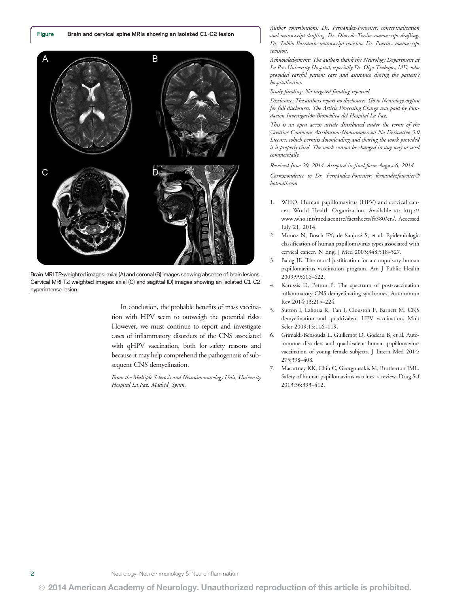Figure Brain and cervical spine MRIs showing an isolated C1-C2 lesion



Brain MRI T2-weighted images: axial (A) and coronal (B) images showing absence of brain lesions. Cervical MRI T2-weighted images: axial (C) and sagittal (D) images showing an isolated C1-C2 hyperintense lesion.

In conclusion, the probable benefits of mass vaccination with HPV seem to outweigh the potential risks. However, we must continue to report and investigate cases of inflammatory disorders of the CNS associated with qHPV vaccination, both for safety reasons and because it may help comprehend the pathogenesis of subsequent CNS demyelination.

From the Multiple Sclerosis and Neuroimmunology Unit, University Hospital La Paz, Madrid, Spain.

Author contributions: Dr. Fernández-Fournier: conceptualization and manuscript drafting. Dr. Díaz de Terán: manuscript drafting. Dr. Tallón Barranco: manuscript revision. Dr. Puertas: manuscript revision.

Acknowledgement: The authors thank the Neurology Department at La Paz University Hospital, especially Dr. Olga Trabajos, MD, who provided careful patient care and assistance during the patient's hospitalization.

Study funding: No targeted funding reported.

Disclosure: The authors report no disclosures. Go to [Neurology.org/nn](http://nn.neurology.org/lookup/doi/10.1212/NXI.0000000000000031) for full disclosures. The Article Processing Charge was paid by Fundación Investigación Biomédica del Hospital La Paz.

This is an open access article distributed under the terms of the Creative Commons Attribution-Noncommercial No Derivative 3.0 License, which permits downloading and sharing the work provided it is properly cited. The work cannot be changed in any way or used commercially.

Received June 20, 2014. Accepted in final form August 6, 2014.

Correspondence to Dr. Fernández-Fournier: [fernandezfournier@](mailto:fernandezfournier@hotmail.com) [hotmail.com](mailto:fernandezfournier@hotmail.com)

- 1. WHO. Human papillomavirus (HPV) and cervical cancer. World Health Organization. Available at: [http://](http://www.who.int/mediacentre/factsheets/fs380/en/) [www.who.int/mediacentre/factsheets/fs380/en/](http://www.who.int/mediacentre/factsheets/fs380/en/). Accessed July 21, 2014.
- 2. Muñoz N, Bosch FX, de Sanjosé S, et al. Epidemiologic classification of human papillomavirus types associated with cervical cancer. N Engl J Med 2003;348:518–527.
- 3. Balog JE. The moral justification for a compulsory human papillomavirus vaccination program. Am J Public Health 2009;99:616–622.
- 4. Karussis D, Petrou P. The spectrum of post-vaccination inflammatory CNS demyelinating syndromes. Autoimmun Rev 2014;13:215–224.
- 5. Sutton I, Lahoria R, Tan I, Clouston P, Barnett M. CNS demyelination and quadrivalent HPV vaccination. Mult Scler 2009;15:116–119.
- 6. Grimaldi-Bensouda L, Guillemot D, Godeau B, et al. Autoimmune disorders and quadrivalent human papillomavirus vaccination of young female subjects. J Intern Med 2014; 275:398–408.
- 7. Macartney KK, Chiu C, Georgousakis M, Brotherton JML. Safety of human papillomavirus vaccines: a review. Drug Saf 2013;36:393–412.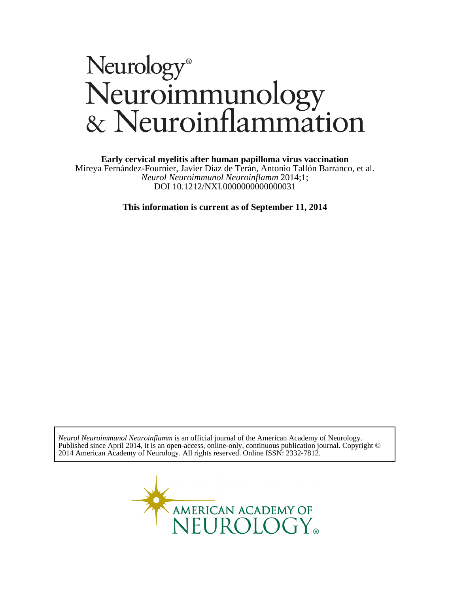# Neurology®<br>Neuroimmunology<br>& Neuroinflammation

**Early cervical myelitis after human papilloma virus vaccination**

DOI 10.1212/NXI.0000000000000031 *Neurol Neuroimmunol Neuroinflamm* 2014;1; Mireya Fernández-Fournier, Javier Díaz de Terán, Antonio Tallón Barranco, et al.

**This information is current as of September 11, 2014**

2014 American Academy of Neurology. All rights reserved. Online ISSN: 2332-7812. Published since April 2014, it is an open-access, online-only, continuous publication journal. Copyright © *Neurol Neuroimmunol Neuroinflamm* is an official journal of the American Academy of Neurology.

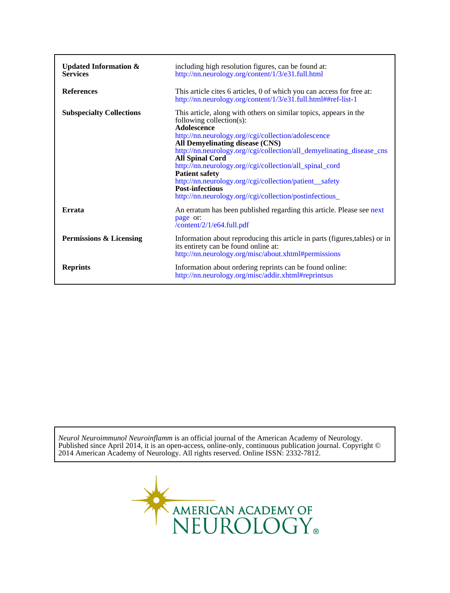| Updated Information $\&$<br><b>Services</b> | including high resolution figures, can be found at:<br>http://nn.neurology.org/content/1/3/e31.full.html                                                                                                                                                                                                                                                                                                                                                                                                                                     |
|---------------------------------------------|----------------------------------------------------------------------------------------------------------------------------------------------------------------------------------------------------------------------------------------------------------------------------------------------------------------------------------------------------------------------------------------------------------------------------------------------------------------------------------------------------------------------------------------------|
| <b>References</b>                           | This article cites 6 articles, 0 of which you can access for free at:<br>http://nn.neurology.org/content/1/3/e31.full.html##ref-list-1                                                                                                                                                                                                                                                                                                                                                                                                       |
| <b>Subspecialty Collections</b>             | This article, along with others on similar topics, appears in the<br>following collection(s):<br>Adolescence<br>http://nn.neurology.org//cgi/collection/adolescence<br>All Demyelinating disease (CNS)<br>http://nn.neurology.org//cgi/collection/all_demyelinating_disease_cns<br><b>All Spinal Cord</b><br>http://nn.neurology.org//cgi/collection/all_spinal_cord<br><b>Patient safety</b><br>http://nn.neurology.org//cgi/collection/patient_safety<br><b>Post-infectious</b><br>http://nn.neurology.org//cgi/collection/postinfectious_ |
| Errata                                      | An erratum has been published regarding this article. Please see next<br>page or:<br>/content/2/1/e64.full.pdf                                                                                                                                                                                                                                                                                                                                                                                                                               |
| Permissions & Licensing                     | Information about reproducing this article in parts (figures, tables) or in<br>its entirety can be found online at:<br>http://nn.neurology.org/misc/about.xhtml#permissions                                                                                                                                                                                                                                                                                                                                                                  |
| <b>Reprints</b>                             | Information about ordering reprints can be found online:<br>http://nn.neurology.org/misc/addir.xhtml#reprintsus                                                                                                                                                                                                                                                                                                                                                                                                                              |

2014 American Academy of Neurology. All rights reserved. Online ISSN: 2332-7812. Published since April 2014, it is an open-access, online-only, continuous publication journal. Copyright © *Neurol Neuroimmunol Neuroinflamm* is an official journal of the American Academy of Neurology.